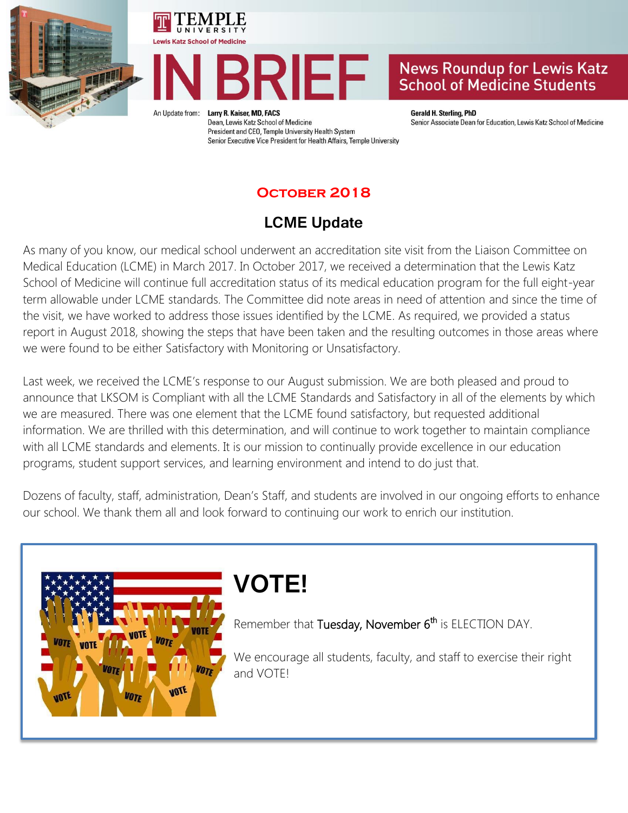





## **News Roundup for Lewis Katz School of Medicine Students**

An Update from:

Larry R. Kaiser, MD, FACS Dean, Lewis Katz School of Medicine President and CEO, Temple University Health System Senior Executive Vice President for Health Affairs, Temple University **Gerald H. Sterling, PhD** Senior Associate Dean for Education, Lewis Katz School of Medicine

## **October 2018**

# **LCME Update**

As many of you know, our medical school underwent an accreditation site visit from the Liaison Committee on Medical Education (LCME) in March 2017. In October 2017, we received a determination that the Lewis Katz School of Medicine will continue full accreditation status of its medical education program for the full eight-year term allowable under LCME standards. The Committee did note areas in need of attention and since the time of the visit, we have worked to address those issues identified by the LCME. As required, we provided a status report in August 2018, showing the steps that have been taken and the resulting outcomes in those areas where we were found to be either Satisfactory with Monitoring or Unsatisfactory.

Last week, we received the LCME's response to our August submission. We are both pleased and proud to announce that LKSOM is Compliant with all the LCME Standards and Satisfactory in all of the elements by which we are measured. There was one element that the LCME found satisfactory, but requested additional information. We are thrilled with this determination, and will continue to work together to maintain compliance with all LCME standards and elements. It is our mission to continually provide excellence in our education programs, student support services, and learning environment and intend to do just that.

Dozens of faculty, staff, administration, Dean's Staff, and students are involved in our ongoing efforts to enhance our school. We thank them all and look forward to continuing our work to enrich our institution.



# **VOTE!**

Remember that Tuesday, November 6<sup>th</sup> is ELECTION DAY.

We encourage all students, faculty, and staff to exercise their right and VOTE!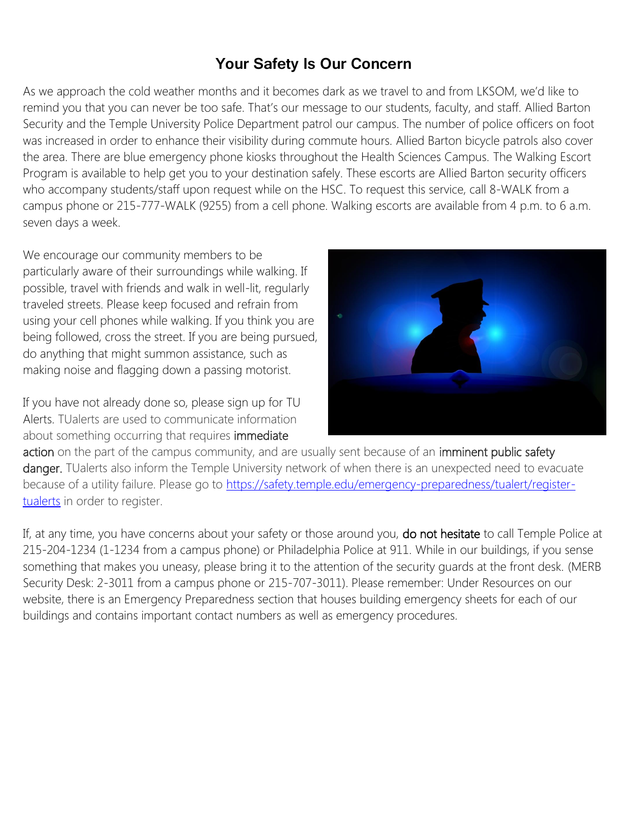# **Your Safety Is Our Concern**

As we approach the cold weather months and it becomes dark as we travel to and from LKSOM, we'd like to remind you that you can never be too safe. That's our message to our students, faculty, and staff. Allied Barton Security and the Temple University Police Department patrol our campus. The number of police officers on foot was increased in order to enhance their visibility during commute hours. Allied Barton bicycle patrols also cover the area. There are blue emergency phone kiosks throughout the Health Sciences Campus. The Walking Escort Program is available to help get you to your destination safely. These escorts are Allied Barton security officers who accompany students/staff upon request while on the HSC. To request this service, call 8-WALK from a campus phone or 215-777-WALK (9255) from a cell phone. Walking escorts are available from 4 p.m. to 6 a.m. seven days a week.

We encourage our community members to be particularly aware of their surroundings while walking. If possible, travel with friends and walk in well-lit, regularly traveled streets. Please keep focused and refrain from using your cell phones while walking. If you think you are being followed, cross the street. If you are being pursued, do anything that might summon assistance, such as making noise and flagging down a passing motorist.

If you have not already done so, please sign up for TU Alerts. TUalerts are used to communicate information about something occurring that requires immediate



action on the part of the campus community, and are usually sent because of an imminent public safety danger. TUalerts also inform the Temple University network of when there is an unexpected need to evacuate because of a utility failure. Please go to [https://safety.temple.edu/emergency-preparedness/tualert/register](https://safety.temple.edu/emergency-preparedness/tualert/register-tualerts)[tualerts](https://safety.temple.edu/emergency-preparedness/tualert/register-tualerts) in order to register.

If, at any time, you have concerns about your safety or those around you, do not hesitate to call Temple Police at 215-204-1234 (1-1234 from a campus phone) or Philadelphia Police at 911. While in our buildings, if you sense something that makes you uneasy, please bring it to the attention of the security guards at the front desk. (MERB Security Desk: 2-3011 from a campus phone or 215-707-3011). Please remember: Under Resources on our website, there is an Emergency Preparedness section that houses building emergency sheets for each of our buildings and contains important contact numbers as well as emergency procedures.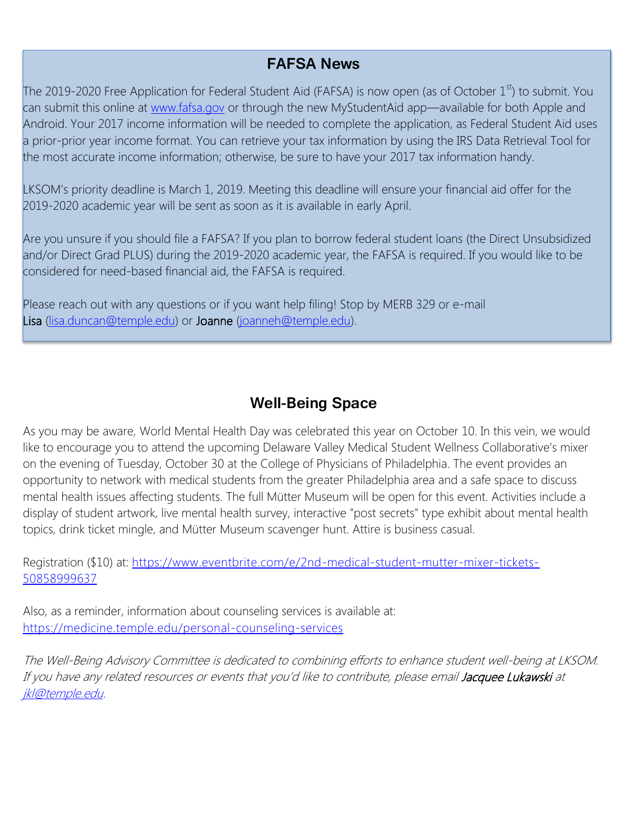## **FAFSA News**

The 2019-2020 Free Application for Federal Student Aid (FAFSA) is now open (as of October  $1<sup>st</sup>$ ) to submit. You can submit this online at [www.fafsa.gov](http://www.fafsa.gov/) or through the new MyStudentAid app—available for both Apple and Android. Your 2017 income information will be needed to complete the application, as Federal Student Aid uses a prior-prior year income format. You can retrieve your tax information by using the IRS Data Retrieval Tool for the most accurate income information; otherwise, be sure to have your 2017 tax information handy.

LKSOM's priority deadline is March 1, 2019. Meeting this deadline will ensure your financial aid offer for the 2019-2020 academic year will be sent as soon as it is available in early April.

Are you unsure if you should file a FAFSA? If you plan to borrow federal student loans (the Direct Unsubsidized and/or Direct Grad PLUS) during the 2019-2020 academic year, the FAFSA is required. If you would like to be considered for need-based financial aid, the FAFSA is required.

Please reach out with any questions or if you want help filing! Stop by MERB 329 or e-mail Lisa [\(lisa.duncan@temple.edu\)](mailto:lisa.duncan@temple.edu) or Joanne [\(joanneh@temple.edu\)](mailto:joanneh@temple.edu).

## **Well-Being Space**

As you may be aware, World Mental Health Day was celebrated this year on October 10. In this vein, we would like to encourage you to attend the upcoming Delaware Valley Medical Student Wellness Collaborative's mixer on the evening of Tuesday, October 30 at the College of Physicians of Philadelphia. The event provides an opportunity to network with medical students from the greater Philadelphia area and a safe space to discuss mental health issues affecting students. The full Mütter Museum will be open for this event. Activities include a display of student artwork, live mental health survey, interactive "post secrets" type exhibit about mental health topics, drink ticket mingle, and Mütter Museum scavenger hunt. Attire is business casual.

Registration (\$10) at: [https://www.eventbrite.com/e/2nd-medical-student-mutter-mixer-tickets-](https://www.eventbrite.com/e/2nd-medical-student-mutter-mixer-tickets-50858999637)[50858999637](https://www.eventbrite.com/e/2nd-medical-student-mutter-mixer-tickets-50858999637)

Also, as a reminder, information about counseling services is available at: <https://medicine.temple.edu/personal-counseling-services>

The Well-Being Advisory Committee is dedicated to combining efforts to enhance student well-being at LKSOM. If you have any related resources or events that you'd like to contribute, please email Jacquee Lukawski at [jkl@temple.edu.](mailto:jkl@temple.edu)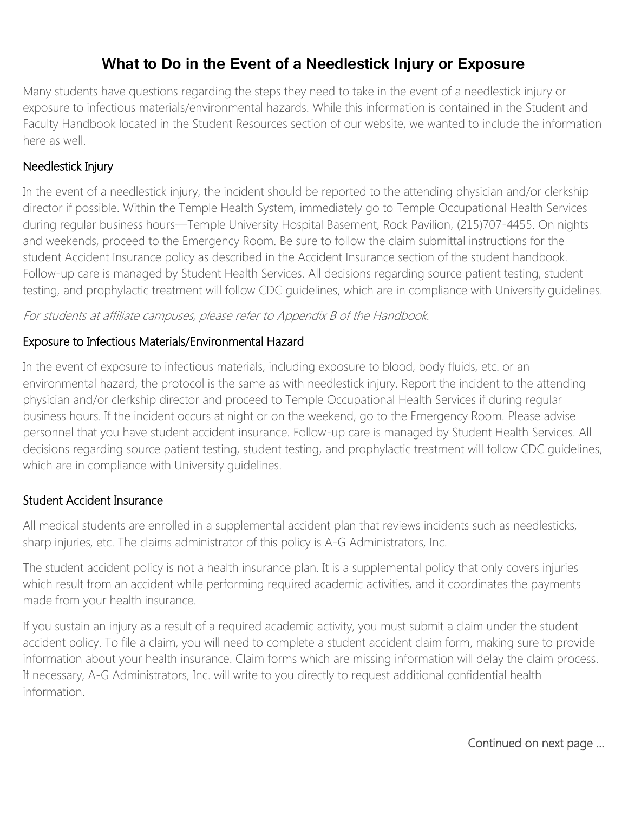## **What to Do in the Event of a Needlestick Injury or Exposure**

Many students have questions regarding the steps they need to take in the event of a needlestick injury or exposure to infectious materials/environmental hazards. While this information is contained in the Student and Faculty Handbook located in the Student Resources section of our website, we wanted to include the information here as well.

#### Needlestick Injury

In the event of a needlestick injury, the incident should be reported to the attending physician and/or clerkship director if possible. Within the Temple Health System, immediately go to Temple Occupational Health Services during regular business hours—Temple University Hospital Basement, Rock Pavilion, (215)707-4455. On nights and weekends, proceed to the Emergency Room. Be sure to follow the claim submittal instructions for the student Accident Insurance policy as described in the Accident Insurance section of the student handbook. Follow-up care is managed by Student Health Services. All decisions regarding source patient testing, student testing, and prophylactic treatment will follow CDC guidelines, which are in compliance with University guidelines.

For students at affiliate campuses, please refer to Appendix B of the Handbook.

#### Exposure to Infectious Materials/Environmental Hazard

In the event of exposure to infectious materials, including exposure to blood, body fluids, etc. or an environmental hazard, the protocol is the same as with needlestick injury. Report the incident to the attending physician and/or clerkship director and proceed to Temple Occupational Health Services if during regular business hours. If the incident occurs at night or on the weekend, go to the Emergency Room. Please advise personnel that you have student accident insurance. Follow-up care is managed by Student Health Services. All decisions regarding source patient testing, student testing, and prophylactic treatment will follow CDC guidelines, which are in compliance with University guidelines.

#### Student Accident Insurance

All medical students are enrolled in a supplemental accident plan that reviews incidents such as needlesticks, sharp injuries, etc. The claims administrator of this policy is A-G Administrators, Inc.

The student accident policy is not a health insurance plan. It is a supplemental policy that only covers injuries which result from an accident while performing required academic activities, and it coordinates the payments made from your health insurance.

If you sustain an injury as a result of a required academic activity, you must submit a claim under the student accident policy. To file a claim, you will need to complete a student accident claim form, making sure to provide information about your health insurance. Claim forms which are missing information will delay the claim process. If necessary, A-G Administrators, Inc. will write to you directly to request additional confidential health information.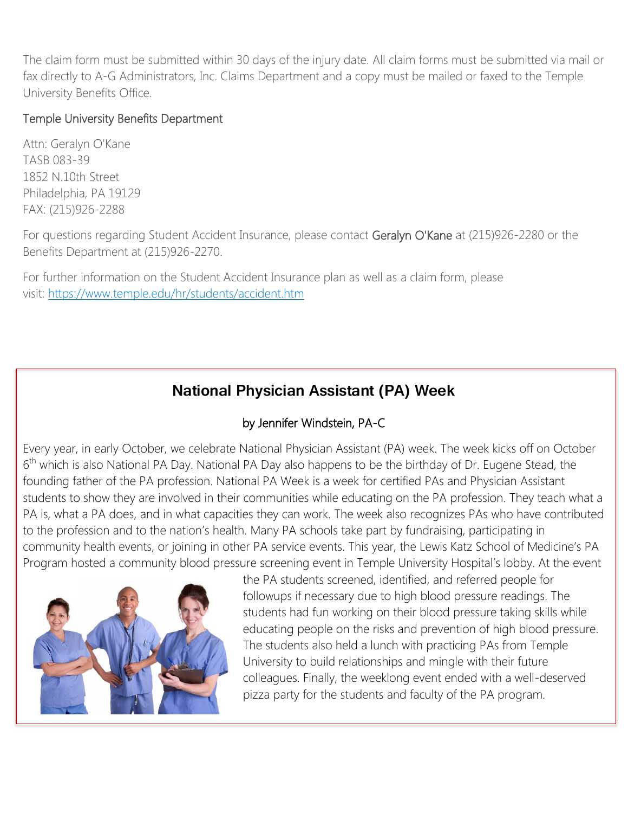The claim form must be submitted within 30 days of the injury date. All claim forms must be submitted via mail or fax directly to A-G Administrators, Inc. Claims Department and a copy must be mailed or faxed to the Temple University Benefits Office.

#### Temple University Benefits Department

Attn: Geralyn O'Kane TASB 083-39 1852 N.10th Street Philadelphia, PA 19129 FAX: (215)926-2288

For questions regarding Student Accident Insurance, please contact Geralyn O'Kane at (215)926-2280 or the Benefits Department at (215)926-2270.

For further information on the Student Accident Insurance plan as well as a claim form, please visit: <https://www.temple.edu/hr/students/accident.htm>

# **National Physician Assistant (PA) Week**

### by Jennifer Windstein, PA-C

Every year, in early October, we celebrate National Physician Assistant (PA) week. The week kicks off on October 6<sup>th</sup> which is also National PA Day. National PA Day also happens to be the birthday of Dr. Eugene Stead, the founding father of the PA profession. National PA Week is a week for certified PAs and Physician Assistant students to show they are involved in their communities while educating on the PA profession. They teach what a PA is, what a PA does, and in what capacities they can work. The week also recognizes PAs who have contributed to the profession and to the nation's health. Many PA schools take part by fundraising, participating in community health events, or joining in other PA service events. This year, the Lewis Katz School of Medicine's PA Program hosted a community blood pressure screening event in Temple University Hospital's lobby. At the event



the PA students screened, identified, and referred people for followups if necessary due to high blood pressure readings. The students had fun working on their blood pressure taking skills while educating people on the risks and prevention of high blood pressure. The students also held a lunch with practicing PAs from Temple University to build relationships and mingle with their future colleagues. Finally, the weeklong event ended with a well-deserved pizza party for the students and faculty of the PA program.